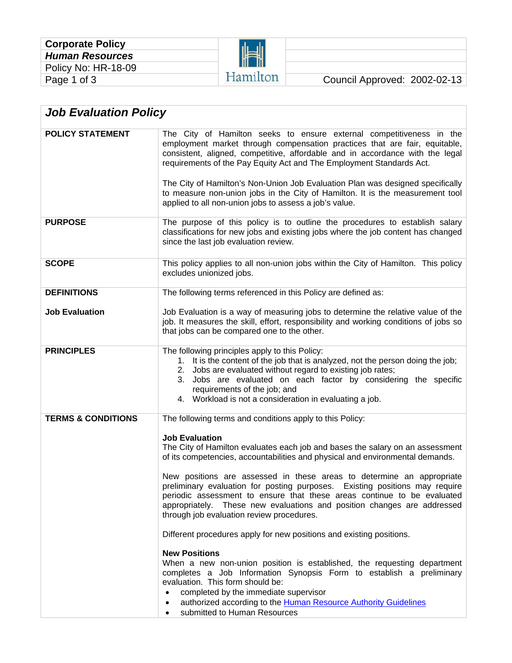| <b>Corporate Policy</b> |
|-------------------------|
| <b>Human Resources</b>  |
| Policy No: HR-18-09     |
| Page 1 of 3             |



| <b>Job Evaluation Policy</b>  |                                                                                                                                                                                                                                                                                                                                                                      |  |  |  |  |
|-------------------------------|----------------------------------------------------------------------------------------------------------------------------------------------------------------------------------------------------------------------------------------------------------------------------------------------------------------------------------------------------------------------|--|--|--|--|
| <b>POLICY STATEMENT</b>       | The City of Hamilton seeks to ensure external competitiveness in the<br>employment market through compensation practices that are fair, equitable,<br>consistent, aligned, competitive, affordable and in accordance with the legal<br>requirements of the Pay Equity Act and The Employment Standards Act.                                                          |  |  |  |  |
|                               | The City of Hamilton's Non-Union Job Evaluation Plan was designed specifically<br>to measure non-union jobs in the City of Hamilton. It is the measurement tool<br>applied to all non-union jobs to assess a job's value.                                                                                                                                            |  |  |  |  |
| <b>PURPOSE</b>                | The purpose of this policy is to outline the procedures to establish salary<br>classifications for new jobs and existing jobs where the job content has changed<br>since the last job evaluation review.                                                                                                                                                             |  |  |  |  |
| <b>SCOPE</b>                  | This policy applies to all non-union jobs within the City of Hamilton. This policy<br>excludes unionized jobs.                                                                                                                                                                                                                                                       |  |  |  |  |
| <b>DEFINITIONS</b>            | The following terms referenced in this Policy are defined as:                                                                                                                                                                                                                                                                                                        |  |  |  |  |
| <b>Job Evaluation</b>         | Job Evaluation is a way of measuring jobs to determine the relative value of the<br>job. It measures the skill, effort, responsibility and working conditions of jobs so<br>that jobs can be compared one to the other.                                                                                                                                              |  |  |  |  |
| <b>PRINCIPLES</b>             | The following principles apply to this Policy:<br>1. It is the content of the job that is analyzed, not the person doing the job;<br>2. Jobs are evaluated without regard to existing job rates;<br>3. Jobs are evaluated on each factor by considering the specific<br>requirements of the job; and<br>4. Workload is not a consideration in evaluating a job.      |  |  |  |  |
| <b>TERMS &amp; CONDITIONS</b> | The following terms and conditions apply to this Policy:                                                                                                                                                                                                                                                                                                             |  |  |  |  |
|                               | <b>Job Evaluation</b><br>The City of Hamilton evaluates each job and bases the salary on an assessment<br>of its competencies, accountabilities and physical and environmental demands.                                                                                                                                                                              |  |  |  |  |
|                               | New positions are assessed in these areas to determine an appropriate<br>preliminary evaluation for posting purposes. Existing positions may require<br>periodic assessment to ensure that these areas continue to be evaluated<br>appropriately. These new evaluations and position changes are addressed<br>through job evaluation review procedures.              |  |  |  |  |
|                               | Different procedures apply for new positions and existing positions.                                                                                                                                                                                                                                                                                                 |  |  |  |  |
|                               | <b>New Positions</b><br>When a new non-union position is established, the requesting department<br>completes a Job Information Synopsis Form to establish a preliminary<br>evaluation. This form should be:<br>completed by the immediate supervisor<br>$\bullet$<br>authorized according to the Human Resource Authority Guidelines<br>submitted to Human Resources |  |  |  |  |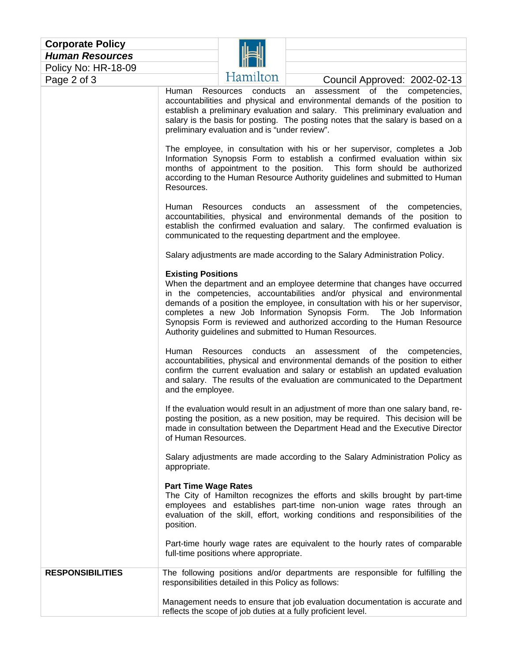| <b>Corporate Policy</b>                        |
|------------------------------------------------|
| <b>Human Resources</b>                         |
| Policy No: HR-18-09                            |
| $D_{0}$ $\alpha$ $\alpha$ , $\alpha$ , $\beta$ |



## Page 2 of 3 Council Approved: 2002-02-13

|                         | Human Resources conducts an assessment of the competencies,<br>accountabilities and physical and environmental demands of the position to<br>establish a preliminary evaluation and salary. This preliminary evaluation and<br>salary is the basis for posting. The posting notes that the salary is based on a<br>preliminary evaluation and is "under review".                                                                                                                |
|-------------------------|---------------------------------------------------------------------------------------------------------------------------------------------------------------------------------------------------------------------------------------------------------------------------------------------------------------------------------------------------------------------------------------------------------------------------------------------------------------------------------|
|                         | The employee, in consultation with his or her supervisor, completes a Job<br>Information Synopsis Form to establish a confirmed evaluation within six<br>months of appointment to the position. This form should be authorized<br>according to the Human Resource Authority guidelines and submitted to Human<br>Resources.                                                                                                                                                     |
|                         | Human Resources conducts an assessment of the competencies,<br>accountabilities, physical and environmental demands of the position to<br>establish the confirmed evaluation and salary. The confirmed evaluation is<br>communicated to the requesting department and the employee.                                                                                                                                                                                             |
|                         | Salary adjustments are made according to the Salary Administration Policy.                                                                                                                                                                                                                                                                                                                                                                                                      |
|                         | <b>Existing Positions</b><br>When the department and an employee determine that changes have occurred<br>in the competencies, accountabilities and/or physical and environmental<br>demands of a position the employee, in consultation with his or her supervisor,<br>completes a new Job Information Synopsis Form. The Job Information<br>Synopsis Form is reviewed and authorized according to the Human Resource<br>Authority guidelines and submitted to Human Resources. |
|                         | Human<br>conducts<br>Resources<br>an<br>assessment of the<br>competencies,<br>accountabilities, physical and environmental demands of the position to either<br>confirm the current evaluation and salary or establish an updated evaluation<br>and salary. The results of the evaluation are communicated to the Department<br>and the employee.                                                                                                                               |
|                         | If the evaluation would result in an adjustment of more than one salary band, re-<br>posting the position, as a new position, may be required. This decision will be<br>made in consultation between the Department Head and the Executive Director<br>of Human Resources.                                                                                                                                                                                                      |
|                         | Salary adjustments are made according to the Salary Administration Policy as<br>appropriate.                                                                                                                                                                                                                                                                                                                                                                                    |
|                         | <b>Part Time Wage Rates</b><br>The City of Hamilton recognizes the efforts and skills brought by part-time<br>employees and establishes part-time non-union wage rates through an<br>evaluation of the skill, effort, working conditions and responsibilities of the<br>position.                                                                                                                                                                                               |
|                         | Part-time hourly wage rates are equivalent to the hourly rates of comparable<br>full-time positions where appropriate.                                                                                                                                                                                                                                                                                                                                                          |
| <b>RESPONSIBILITIES</b> | The following positions and/or departments are responsible for fulfilling the<br>responsibilities detailed in this Policy as follows:                                                                                                                                                                                                                                                                                                                                           |
|                         | Management needs to ensure that job evaluation documentation is accurate and<br>reflects the scope of job duties at a fully proficient level.                                                                                                                                                                                                                                                                                                                                   |